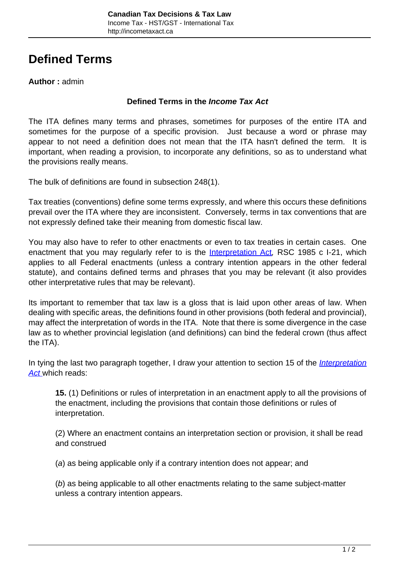# **Defined Terms**

## **Author :** admin

#### **Defined Terms in the Income Tax Act**

The ITA defines many terms and phrases, sometimes for purposes of the entire ITA and sometimes for the purpose of a specific provision. Just because a word or phrase may appear to not need a definition does not mean that the ITA hasn't defined the term. It is important, when reading a provision, to incorporate any definitions, so as to understand what the provisions really means.

The bulk of definitions are found in subsection 248(1).

Tax treaties (conventions) define some terms expressly, and where this occurs these definitions prevail over the ITA where they are inconsistent. Conversely, terms in tax conventions that are not expressly defined take their meaning from domestic fiscal law.

You may also have to refer to other enactments or even to tax treaties in certain cases. One enactment that you may regularly refer to is the [Interpretation Act](http://canlii.ca/t/7vhg), RSC 1985 c I-21, which applies to all Federal enactments (unless a contrary intention appears in the other federal statute), and contains defined terms and phrases that you may be relevant (it also provides other interpretative rules that may be relevant).

Its important to remember that tax law is a gloss that is laid upon other areas of law. When dealing with specific areas, the definitions found in other provisions (both federal and provincial), may affect the interpretation of words in the ITA. Note that there is some divergence in the case law as to whether provincial legislation (and definitions) can bind the federal crown (thus affect the ITA).

In tying the last two paragraph together, I draw your attention to section 15 of the *[Interpretation](http://canlii.ca/t/7vhg)* [Act](http://canlii.ca/t/7vhg) which reads:

**15.** (1) Definitions or rules of interpretation in an enactment apply to all the provisions of the enactment, including the provisions that contain those definitions or rules of interpretation.

(2) Where an enactment contains an interpretation section or provision, it shall be read and construed

(a) as being applicable only if a contrary intention does not appear; and

(b) as being applicable to all other enactments relating to the same subject-matter unless a contrary intention appears.